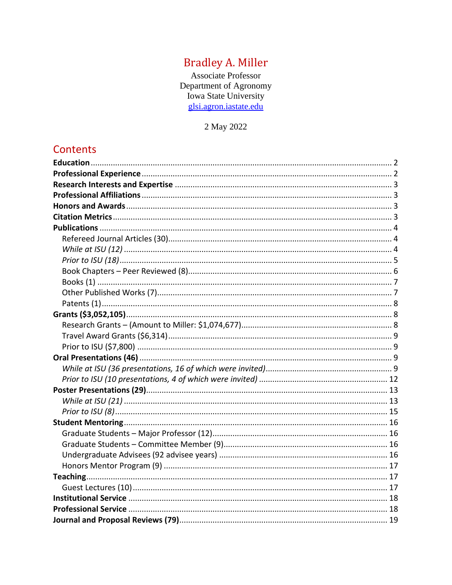# **Bradley A. Miller**

Associate Professor Department of Agronomy Iowa State University<br>glsi.agron.iastate.edu

2 May 2022

# Contents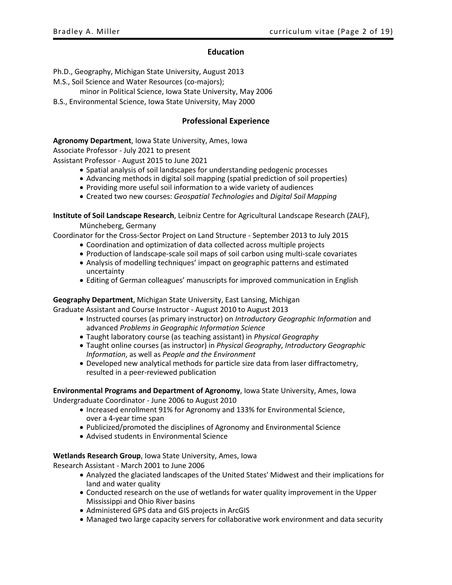#### **Education**

<span id="page-1-0"></span>Ph.D., Geography, Michigan State University, August 2013

M.S., Soil Science and Water Resources (co-majors);

- minor in Political Science, Iowa State University, May 2006
- <span id="page-1-1"></span>B.S., Environmental Science, Iowa State University, May 2000

# **Professional Experience**

**Agronomy Department**, Iowa State University, Ames, Iowa

Associate Professor - July 2021 to present

Assistant Professor - August 2015 to June 2021

- Spatial analysis of soil landscapes for understanding pedogenic processes
- Advancing methods in digital soil mapping (spatial prediction of soil properties)
- Providing more useful soil information to a wide variety of audiences
- Created two new courses: *Geospatial Technologies* and *Digital Soil Mapping*

**Institute of Soil Landscape Research**, Leibniz Centre for Agricultural Landscape Research (ZALF),

Müncheberg, Germany

Coordinator for the Cross-Sector Project on Land Structure - September 2013 to July 2015

- Coordination and optimization of data collected across multiple projects
- Production of landscape-scale soil maps of soil carbon using multi-scale covariates
- Analysis of modelling techniques' impact on geographic patterns and estimated uncertainty
- Editing of German colleagues' manuscripts for improved communication in English

**Geography Department**, Michigan State University, East Lansing, Michigan

Graduate Assistant and Course Instructor - August 2010 to August 2013

- Instructed courses (as primary instructor) on *Introductory Geographic Information* and advanced *Problems in Geographic Information Science*
- Taught laboratory course (as teaching assistant) in *Physical Geography*
- Taught online courses (as instructor) in *Physical Geography*, *Introductory Geographic Information*, as well as *People and the Environment*
- Developed new analytical methods for particle size data from laser diffractometry, resulted in a peer-reviewed publication

**Environmental Programs and Department of Agronomy**, Iowa State University, Ames, Iowa Undergraduate Coordinator - June 2006 to August 2010

- Increased enrollment 91% for Agronomy and 133% for Environmental Science, over a 4-year time span
- Publicized/promoted the disciplines of Agronomy and Environmental Science
- Advised students in Environmental Science

**Wetlands Research Group**, Iowa State University, Ames, Iowa

Research Assistant - March 2001 to June 2006

- Analyzed the glaciated landscapes of the United States' Midwest and their implications for land and water quality
- Conducted research on the use of wetlands for water quality improvement in the Upper Mississippi and Ohio River basins
- Administered GPS data and GIS projects in ArcGIS
- Managed two large capacity servers for collaborative work environment and data security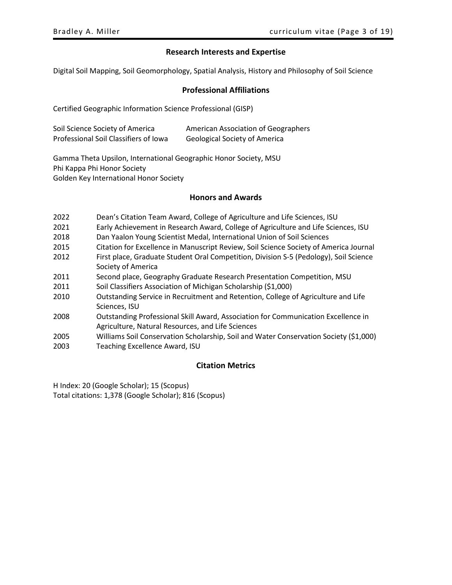# **Research Interests and Expertise**

<span id="page-2-1"></span><span id="page-2-0"></span>Digital Soil Mapping, Soil Geomorphology, Spatial Analysis, History and Philosophy of Soil Science

# **Professional Affiliations**

Certified Geographic Information Science Professional (GISP)

| Soil Science Society of America       | American Association of Geographers  |
|---------------------------------------|--------------------------------------|
| Professional Soil Classifiers of Iowa | <b>Geological Society of America</b> |

Gamma Theta Upsilon, International Geographic Honor Society, MSU Phi Kappa Phi Honor Society Golden Key International Honor Society

# **Honors and Awards**

<span id="page-2-2"></span>

| 2022 | Dean's Citation Team Award, College of Agriculture and Life Sciences, ISU             |
|------|---------------------------------------------------------------------------------------|
| 2021 | Early Achievement in Research Award, College of Agriculture and Life Sciences, ISU    |
| 2018 | Dan Yaalon Young Scientist Medal, International Union of Soil Sciences                |
| 2015 | Citation for Excellence in Manuscript Review, Soil Science Society of America Journal |
| 2012 | First place, Graduate Student Oral Competition, Division S-5 (Pedology), Soil Science |
|      | Society of America                                                                    |
| 2011 | Second place, Geography Graduate Research Presentation Competition, MSU               |
| 2011 | Soil Classifiers Association of Michigan Scholarship (\$1,000)                        |
| 2010 | Outstanding Service in Recruitment and Retention, College of Agriculture and Life     |
|      | Sciences, ISU                                                                         |
| 2008 | Outstanding Professional Skill Award, Association for Communication Excellence in     |
|      | Agriculture, Natural Resources, and Life Sciences                                     |
| 2005 | Williams Soil Conservation Scholarship, Soil and Water Conservation Society (\$1,000) |
| 2003 | Teaching Excellence Award, ISU                                                        |
|      |                                                                                       |

# **Citation Metrics**

<span id="page-2-3"></span>H Index: 20 (Google Scholar); 15 (Scopus) Total citations: 1,378 (Google Scholar); 816 (Scopus)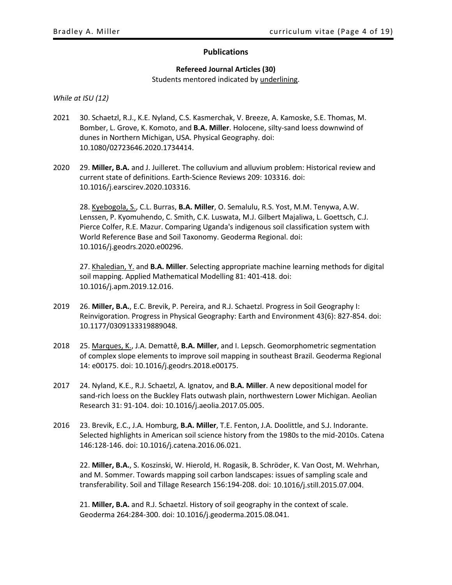# **Publications**

### **Refereed Journal Articles (30)**

Students mentored indicated by underlining.

<span id="page-3-2"></span><span id="page-3-1"></span><span id="page-3-0"></span>*While at ISU (12)*

- 2021 30. Schaetzl, R.J., K.E. Nyland, C.S. Kasmerchak, V. Breeze, A. Kamoske, S.E. Thomas, M. Bomber, L. Grove, K. Komoto, and **B.A. Miller**. Holocene, silty-sand loess downwind of dunes in Northern Michigan, USA. Physical Geography. doi: 10.1080/02723646.2020.1734414.
- 2020 29. **Miller, B.A.** and J. Juilleret. The colluvium and alluvium problem: Historical review and current state of definitions. Earth-Science Reviews 209: 103316. doi: 10.1016/j.earscirev.2020.103316.

28. Kyebogola, S., C.L. Burras, **B.A. Miller**, O. Semalulu, R.S. Yost, M.M. Tenywa, A.W. Lenssen, P. Kyomuhendo, C. Smith, C.K. Luswata, M.J. Gilbert Majaliwa, L. Goettsch, C.J. Pierce Colfer, R.E. Mazur. Comparing Uganda's indigenous soil classification system with World Reference Base and Soil Taxonomy. Geoderma Regional. doi: 10.1016/j.geodrs.2020.e00296.

27. Khaledian, Y. and **B.A. Miller**. Selecting appropriate machine learning methods for digital soil mapping. Applied Mathematical Modelling 81: 401-418. doi: 10.1016/j.apm.2019.12.016.

- 2019 26. **Miller, B.A.**, E.C. Brevik, P. Pereira, and R.J. Schaetzl. Progress in Soil Geography I: Reinvigoration. Progress in Physical Geography: Earth and Environment 43(6): 827-854. doi: 10.1177/0309133319889048.
- 2018 25. Marques, K., J.A. Demattê, **B.A. Miller**, and I. Lepsch. Geomorphometric segmentation of complex slope elements to improve soil mapping in southeast Brazil. Geoderma Regional 14: e00175. doi: 10.1016/j.geodrs.2018.e00175.
- 2017 24. Nyland, K.E., R.J. Schaetzl, A. Ignatov, and **B.A. Miller**. A new depositional model for sand-rich loess on the Buckley Flats outwash plain, northwestern Lower Michigan. Aeolian Research 31: 91-104. doi: 10.1016/j.aeolia.2017.05.005.
- 2016 23. Brevik, E.C., J.A. Homburg, **B.A. Miller**, T.E. Fenton, J.A. Doolittle, and S.J. Indorante. Selected highlights in American soil science history from the 1980s to the mid-2010s. Catena 146:128-146. doi: 10.1016/j.catena.2016.06.021.

22. **Miller, B.A.**, S. Koszinski, W. Hierold, H. Rogasik, B. Schröder, K. Van Oost, M. Wehrhan, and M. Sommer. Towards mapping soil carbon landscapes: issues of sampling scale and transferability. Soil and Tillage Research 156:194-208. doi: 10.1016/j.still.2015.07.004.

21. **Miller, B.A.** and R.J. Schaetzl. History of soil geography in the context of scale. Geoderma 264:284-300. doi: 10.1016/j.geoderma.2015.08.041.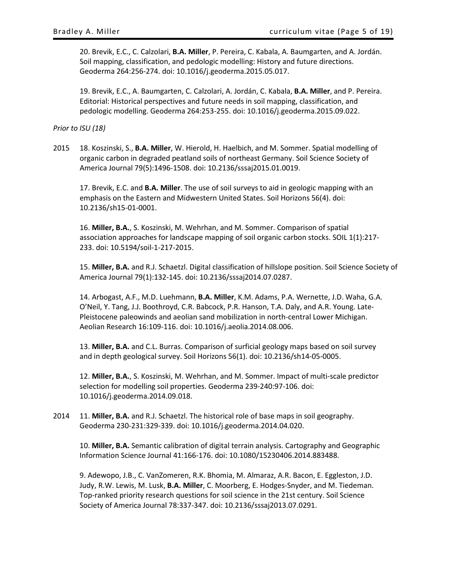20. Brevik, E.C., C. Calzolari, **B.A. Miller**, P. Pereira, C. Kabala, A. Baumgarten, and A. Jordán. Soil mapping, classification, and pedologic modelling: History and future directions. Geoderma 264:256-274. doi: 10.1016/j.geoderma.2015.05.017.

19. Brevik, E.C., A. Baumgarten, C. Calzolari, A. Jordán, C. Kabala, **B.A. Miller**, and P. Pereira. Editorial: Historical perspectives and future needs in soil mapping, classification, and pedologic modelling. Geoderma 264:253-255. doi: 10.1016/j.geoderma.2015.09.022.

<span id="page-4-0"></span>*Prior to ISU (18)*

2015 18. Koszinski, S., **B.A. Miller**, W. Hierold, H. Haelbich, and M. Sommer. Spatial modelling of organic carbon in degraded peatland soils of northeast Germany. Soil Science Society of America Journal 79(5):1496-1508. doi: 10.2136/sssaj2015.01.0019.

17. Brevik, E.C. and **B.A. Miller**. The use of soil surveys to aid in geologic mapping with an emphasis on the Eastern and Midwestern United States. Soil Horizons 56(4). doi: 10.2136/sh15-01-0001.

16. **Miller, B.A.**, S. Koszinski, M. Wehrhan, and M. Sommer. Comparison of spatial association approaches for landscape mapping of soil organic carbon stocks. SOIL 1(1):217- 233. doi: 10.5194/soil-1-217-2015.

15. **Miller, B.A.** and R.J. Schaetzl. Digital classification of hillslope position. Soil Science Society of America Journal 79(1):132-145. doi: 10.2136/sssaj2014.07.0287.

14. Arbogast, A.F., M.D. Luehmann, **B.A. Miller**, K.M. Adams, P.A. Wernette, J.D. Waha, G.A. O'Neil, Y. Tang, J.J. Boothroyd, C.R. Babcock, P.R. Hanson, T.A. Daly, and A.R. Young. Late-Pleistocene paleowinds and aeolian sand mobilization in north-central Lower Michigan. Aeolian Research 16:109-116. doi: 10.1016/j.aeolia.2014.08.006.

13. **Miller, B.A.** and C.L. Burras. Comparison of surficial geology maps based on soil survey and in depth geological survey. Soil Horizons 56(1). doi: 10.2136/sh14-05-0005.

12. **Miller, B.A.**, S. Koszinski, M. Wehrhan, and M. Sommer. Impact of multi-scale predictor selection for modelling soil properties. Geoderma 239-240:97-106. doi: 10.1016/j.geoderma.2014.09.018.

2014 11. **Miller, B.A.** and R.J. Schaetzl. The historical role of base maps in soil geography. Geoderma 230-231:329-339. doi: 10.1016/j.geoderma.2014.04.020.

10. **Miller, B.A.** Semantic calibration of digital terrain analysis. Cartography and Geographic Information Science Journal 41:166-176. doi: 10.1080/15230406.2014.883488.

9. Adewopo, J.B., C. VanZomeren, R.K. Bhomia, M. Almaraz, A.R. Bacon, E. Eggleston, J.D. Judy, R.W. Lewis, M. Lusk, **B.A. Miller**, C. Moorberg, E. Hodges-Snyder, and M. Tiedeman. Top-ranked priority research questions for soil science in the 21st century. Soil Science Society of America Journal 78:337-347. doi: 10.2136/sssaj2013.07.0291.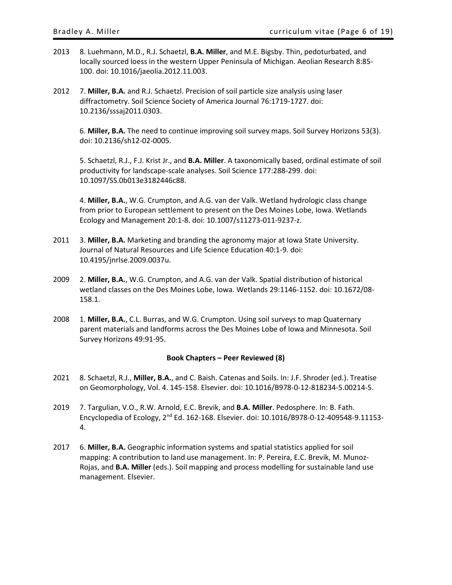- 2013 8. Luehmann, M.D., R.J. Schaetzl, **B.A. Miller**, and M.E. Bigsby. Thin, pedoturbated, and locally sourced loess in the western Upper Peninsula of Michigan. Aeolian Research 8:85- 100. doi: 10.1016/jaeolia.2012.11.003.
- 2012 7. **Miller, B.A.** and R.J. Schaetzl. Precision of soil particle size analysis using laser diffractometry. Soil Science Society of America Journal 76:1719-1727. doi: 10.2136/sssaj2011.0303.

6. **Miller, B.A.** The need to continue improving soil survey maps. Soil Survey Horizons 53(3). doi: 10.2136/sh12-02-0005.

5. Schaetzl, R.J., F.J. Krist Jr., and **B.A. Miller**. A taxonomically based, ordinal estimate of soil productivity for landscape-scale analyses. Soil Science 177:288-299. doi: 10.1097/SS.0b013e3182446c88.

4. **Miller, B.A.**, W.G. Crumpton, and A.G. van der Valk. Wetland hydrologic class change from prior to European settlement to present on the Des Moines Lobe, Iowa. Wetlands Ecology and Management 20:1-8. doi: 10.1007/s11273-011-9237-z.

- 2011 3. **Miller, B.A.** Marketing and branding the agronomy major at Iowa State University. Journal of Natural Resources and Life Science Education 40:1-9. doi: 10.4195/jnrlse.2009.0037u.
- 2009 2. **Miller, B.A.**, W.G. Crumpton, and A.G. van der Valk. Spatial distribution of historical wetland classes on the Des Moines Lobe, Iowa. Wetlands 29:1146-1152. doi: 10.1672/08- 158.1.
- 2008 1. **Miller, B.A.**, C.L. Burras, and W.G. Crumpton. Using soil surveys to map Quaternary parent materials and landforms across the Des Moines Lobe of Iowa and Minnesota. Soil Survey Horizons 49:91-95.

#### **Book Chapters – Peer Reviewed (8)**

- <span id="page-5-0"></span>2021 8. Schaetzl, R.J., **Miller, B.A.**, and C. Baish. Catenas and Soils. In: J.F. Shroder (ed.). Treatise on Geomorphology, Vol. 4. 145-158. Elsevier. doi: 10.1016/B978-0-12-818234-5.00214-5.
- 2019 7. Targulian, V.O., R.W. Arnold, E.C. Brevik, and **B.A. Miller**. Pedosphere. In: B. Fath. Encyclopedia of Ecology, 2nd Ed. 162-168. Elsevier. doi: 10.1016/B978-0-12-409548-9.11153- 4.
- 2017 6. **Miller, B.A.** Geographic information systems and spatial statistics applied for soil mapping: A contribution to land use management. In: P. Pereira, E.C. Brevik, M. Munoz-Rojas, and **B.A. Miller** (eds.). Soil mapping and process modelling for sustainable land use management. Elsevier.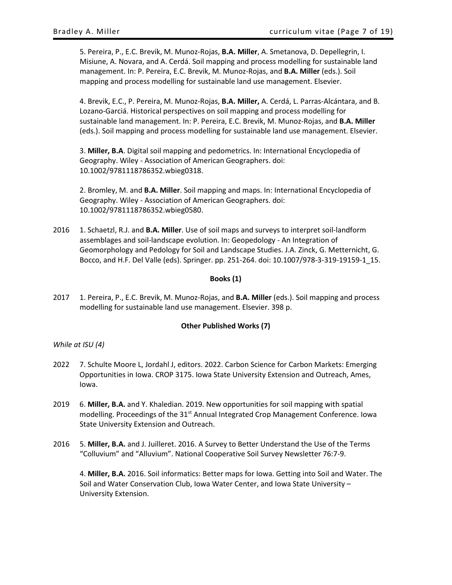5. Pereira, P., E.C. Brevik, M. Munoz-Rojas, **B.A. Miller**, A. Smetanova, D. Depellegrin, I. Misiune, A. Novara, and A. Cerdá. Soil mapping and process modelling for sustainable land management. In: P. Pereira, E.C. Brevik, M. Munoz-Rojas, and **B.A. Miller** (eds.). Soil mapping and process modelling for sustainable land use management. Elsevier.

4. Brevik, E.C., P. Pereira, M. Munoz-Rojas, **B.A. Miller,** A. Cerdá, L. Parras-Alcántara, and B. Lozano-Garciá. Historical perspectives on soil mapping and process modelling for sustainable land management. In: P. Pereira, E.C. Brevik, M. Munoz-Rojas, and **B.A. Miller** (eds.). Soil mapping and process modelling for sustainable land use management. Elsevier.

3. **Miller, B.A**. Digital soil mapping and pedometrics. In: International Encyclopedia of Geography. Wiley - Association of American Geographers. doi: 10.1002/9781118786352.wbieg0318.

2. Bromley, M. and **B.A. Miller**. Soil mapping and maps. In: International Encyclopedia of Geography. Wiley - Association of American Geographers. doi: 10.1002/9781118786352.wbieg0580.

2016 1. Schaetzl, R.J. and **B.A. Miller**. Use of soil maps and surveys to interpret soil-landform assemblages and soil-landscape evolution. In: Geopedology - An Integration of Geomorphology and Pedology for Soil and Landscape Studies. J.A. Zinck, G. Metternicht, G. Bocco, and H.F. Del Valle (eds). Springer. pp. 251-264. doi: 10.1007/978-3-319-19159-1\_15.

### **Books (1)**

<span id="page-6-0"></span>2017 1. Pereira, P., E.C. Brevik, M. Munoz-Rojas, and **B.A. Miller** (eds.). Soil mapping and process modelling for sustainable land use management. Elsevier. 398 p.

#### **Other Published Works (7)**

#### <span id="page-6-1"></span>*While at ISU (4)*

- 2022 7. Schulte Moore L, Jordahl J, editors. 2022. Carbon Science for Carbon Markets: Emerging Opportunities in Iowa. CROP 3175. Iowa State University Extension and Outreach, Ames, Iowa.
- 2019 6. **Miller, B.A.** and Y. Khaledian. 2019. New opportunities for soil mapping with spatial modelling. Proceedings of the 31<sup>st</sup> Annual Integrated Crop Management Conference. Iowa State University Extension and Outreach.
- 2016 5. **Miller, B.A.** and J. Juilleret. 2016. A Survey to Better Understand the Use of the Terms "Colluvium" and "Alluvium". National Cooperative Soil Survey Newsletter 76:7-9.

4. **Miller, B.A.** 2016. Soil informatics: Better maps for Iowa. Getting into Soil and Water. The Soil and Water Conservation Club, Iowa Water Center, and Iowa State University – University Extension.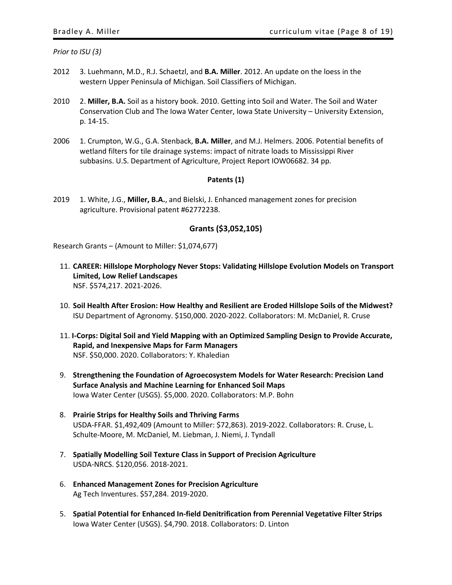*Prior to ISU (3)*

- 2012 3. Luehmann, M.D., R.J. Schaetzl, and **B.A. Miller**. 2012. An update on the loess in the western Upper Peninsula of Michigan. Soil Classifiers of Michigan.
- 2010 2. **Miller, B.A.** Soil as a history book. 2010. Getting into Soil and Water. The Soil and Water Conservation Club and The Iowa Water Center, Iowa State University – University Extension, p. 14-15.
- 2006 1. Crumpton, W.G., G.A. Stenback, **B.A. Miller**, and M.J. Helmers. 2006. Potential benefits of wetland filters for tile drainage systems: impact of nitrate loads to Mississippi River subbasins. U.S. Department of Agriculture, Project Report IOW06682. 34 pp.

#### **Patents (1)**

<span id="page-7-0"></span>2019 1. White, J.G., **Miller, B.A.**, and Bielski, J. Enhanced management zones for precision agriculture. Provisional patent #62772238.

# **Grants (\$3,052,105)**

<span id="page-7-2"></span><span id="page-7-1"></span>Research Grants – (Amount to Miller: \$1,074,677)

- 11. **CAREER: Hillslope Morphology Never Stops: Validating Hillslope Evolution Models on Transport Limited, Low Relief Landscapes** NSF. \$574,217. 2021-2026.
- 10. **Soil Health After Erosion: How Healthy and Resilient are Eroded Hillslope Soils of the Midwest?**  ISU Department of Agronomy. \$150,000. 2020-2022. Collaborators: M. McDaniel, R. Cruse
- 11. **I-Corps: Digital Soil and Yield Mapping with an Optimized Sampling Design to Provide Accurate, Rapid, and Inexpensive Maps for Farm Managers** NSF. \$50,000. 2020. Collaborators: Y. Khaledian
- 9. **Strengthening the Foundation of Agroecosystem Models for Water Research: Precision Land Surface Analysis and Machine Learning for Enhanced Soil Maps** Iowa Water Center (USGS). \$5,000. 2020. Collaborators: M.P. Bohn
- 8. **Prairie Strips for Healthy Soils and Thriving Farms** USDA-FFAR. \$1,492,409 (Amount to Miller: \$72,863). 2019-2022. Collaborators: R. Cruse, L. Schulte-Moore, M. McDaniel, M. Liebman, J. Niemi, J. Tyndall
- 7. **Spatially Modelling Soil Texture Class in Support of Precision Agriculture** USDA-NRCS. \$120,056. 2018-2021.
- 6. **Enhanced Management Zones for Precision Agriculture** Ag Tech Inventures. \$57,284. 2019-2020.
- 5. **Spatial Potential for Enhanced In-field Denitrification from Perennial Vegetative Filter Strips** Iowa Water Center (USGS). \$4,790. 2018. Collaborators: D. Linton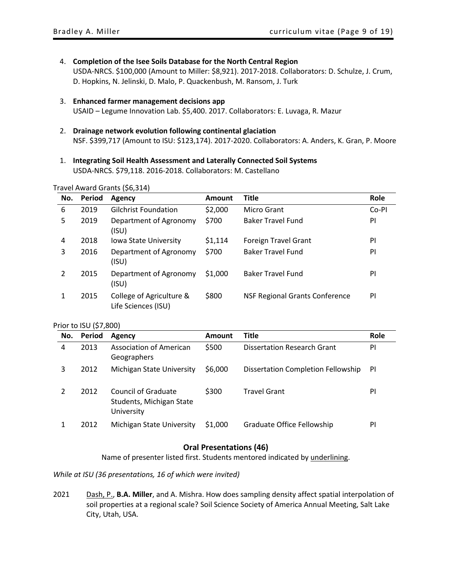4. **Completion of the Isee Soils Database for the North Central Region**

USDA-NRCS. \$100,000 (Amount to Miller: \$8,921). 2017-2018. Collaborators: D. Schulze, J. Crum, D. Hopkins, N. Jelinski, D. Malo, P. Quackenbush, M. Ransom, J. Turk

- 3. **Enhanced farmer management decisions app** USAID – Legume Innovation Lab. \$5,400. 2017. Collaborators: E. Luvaga, R. Mazur
- 2. **Drainage network evolution following continental glaciation** NSF. \$399,717 (Amount to ISU: \$123,174). 2017-2020. Collaborators: A. Anders, K. Gran, P. Moore
- 1. **Integrating Soil Health Assessment and Laterally Connected Soil Systems** USDA-NRCS. \$79,118. 2016-2018. Collaborators: M. Castellano

#### <span id="page-8-0"></span>Travel Award Grants (\$6,314)

| No. | Period | Agency                                          | <b>Amount</b> | <b>Title</b>                          | Role  |
|-----|--------|-------------------------------------------------|---------------|---------------------------------------|-------|
| 6   | 2019   | <b>Gilchrist Foundation</b>                     | \$2,000       | Micro Grant                           | Co-PI |
| 5   | 2019   | Department of Agronomy<br>(ISU)                 | \$700         | <b>Baker Travel Fund</b>              | PI    |
| 4   | 2018   | Iowa State University                           | \$1,114       | <b>Foreign Travel Grant</b>           | PI    |
| 3   | 2016   | Department of Agronomy<br>(ISU)                 | \$700         | <b>Baker Travel Fund</b>              | PI    |
| 2   | 2015   | Department of Agronomy<br>(ISU)                 | \$1,000       | <b>Baker Travel Fund</b>              | PI    |
|     | 2015   | College of Agriculture &<br>Life Sciences (ISU) | \$800         | <b>NSF Regional Grants Conference</b> | PI    |

#### <span id="page-8-1"></span>Prior to ISU (\$7,800)

| No. | Period | Agency                                                        | Amount  | <b>Title</b>                       | Role |
|-----|--------|---------------------------------------------------------------|---------|------------------------------------|------|
| 4   | 2013   | Association of American<br>Geographers                        | \$500   | <b>Dissertation Research Grant</b> | PI   |
| 3   | 2012   | <b>Michigan State University</b>                              | \$6,000 | Dissertation Completion Fellowship | -PI  |
|     | 2012   | Council of Graduate<br>Students, Michigan State<br>University | \$300   | <b>Travel Grant</b>                | PI   |
|     | 2012   | Michigan State University                                     | \$1,000 | Graduate Office Fellowship         | PI   |

# **Oral Presentations (46)**

Name of presenter listed first. Students mentored indicated by underlining.

<span id="page-8-3"></span><span id="page-8-2"></span>*While at ISU (36 presentations, 16 of which were invited)* 

2021 Dash, P., **B.A. Miller**, and A. Mishra. How does sampling density affect spatial interpolation of soil properties at a regional scale? Soil Science Society of America Annual Meeting, Salt Lake City, Utah, USA.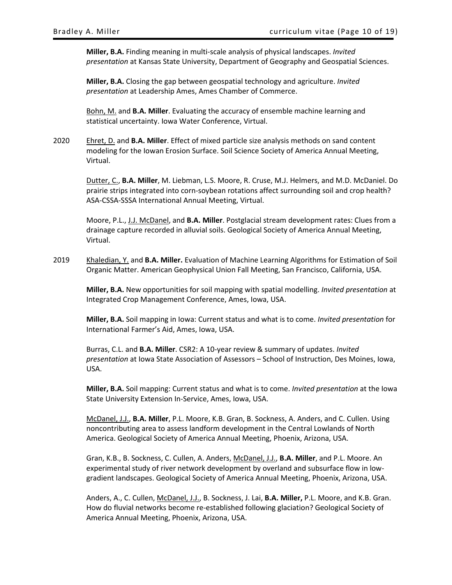**Miller, B.A.** Finding meaning in multi-scale analysis of physical landscapes. *Invited presentation* at Kansas State University, Department of Geography and Geospatial Sciences.

**Miller, B.A.** Closing the gap between geospatial technology and agriculture. *Invited presentation* at Leadership Ames, Ames Chamber of Commerce.

Bohn, M. and **B.A. Miller**. Evaluating the accuracy of ensemble machine learning and statistical uncertainty. Iowa Water Conference, Virtual.

2020 Ehret, D. and **B.A. Miller**. Effect of mixed particle size analysis methods on sand content modeling for the Iowan Erosion Surface. Soil Science Society of America Annual Meeting, Virtual.

> Dutter, C., **B.A. Miller**, M. Liebman, L.S. Moore, R. Cruse, M.J. Helmers, and M.D. McDaniel. Do prairie strips integrated into corn-soybean rotations affect surrounding soil and crop health? ASA-CSSA-SSSA International Annual Meeting, Virtual.

> Moore, P.L., J.J. McDanel, and **B.A. Miller**. Postglacial stream development rates: Clues from a drainage capture recorded in alluvial soils. Geological Society of America Annual Meeting, Virtual.

2019 Khaledian, Y. and **B.A. Miller.** Evaluation of Machine Learning Algorithms for Estimation of Soil Organic Matter. American Geophysical Union Fall Meeting, San Francisco, California, USA.

**Miller, B.A.** New opportunities for soil mapping with spatial modelling. *Invited presentation* at Integrated Crop Management Conference, Ames, Iowa, USA.

**Miller, B.A.** Soil mapping in Iowa: Current status and what is to come. *Invited presentation* for International Farmer's Aid, Ames, Iowa, USA.

Burras, C.L. and **B.A. Miller**. CSR2: A 10-year review & summary of updates. *Invited presentation* at Iowa State Association of Assessors – School of Instruction, Des Moines, Iowa, USA.

**Miller, B.A.** Soil mapping: Current status and what is to come. *Invited presentation* at the Iowa State University Extension In-Service, Ames, Iowa, USA.

McDanel, J.J., **B.A. Miller**, P.L. Moore, K.B. Gran, B. Sockness, A. Anders, and C. Cullen. Using noncontributing area to assess landform development in the Central Lowlands of North America. Geological Society of America Annual Meeting, Phoenix, Arizona, USA.

Gran, K.B., B. Sockness, C. Cullen, A. Anders, McDanel, J.J., **B.A. Miller**, and P.L. Moore. An experimental study of river network development by overland and subsurface flow in lowgradient landscapes. Geological Society of America Annual Meeting, Phoenix, Arizona, USA.

Anders, A., C. Cullen, McDanel, J.J., B. Sockness, J. Lai, **B.A. Miller,** P.L. Moore, and K.B. Gran. How do fluvial networks become re-established following glaciation? Geological Society of America Annual Meeting, Phoenix, Arizona, USA.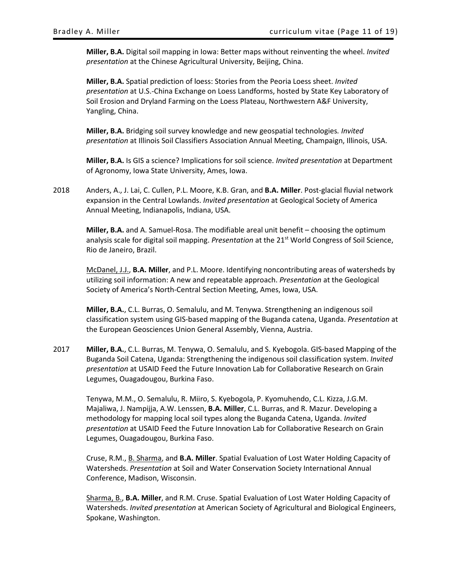**Miller, B.A.** Digital soil mapping in Iowa: Better maps without reinventing the wheel. *Invited presentation* at the Chinese Agricultural University, Beijing, China.

**Miller, B.A.** Spatial prediction of loess: Stories from the Peoria Loess sheet. *Invited presentation* at U.S.-China Exchange on Loess Landforms, hosted by State Key Laboratory of Soil Erosion and Dryland Farming on the Loess Plateau, Northwestern A&F University, Yangling, China.

**Miller, B.A.** Bridging soil survey knowledge and new geospatial technologies*. Invited presentation* at Illinois Soil Classifiers Association Annual Meeting, Champaign, Illinois, USA.

**Miller, B.A.** Is GIS a science? Implications for soil science. *Invited presentation* at Department of Agronomy, Iowa State University, Ames, Iowa.

2018 Anders, A., J. Lai, C. Cullen, P.L. Moore, K.B. Gran, and **B.A. Miller**. Post-glacial fluvial network expansion in the Central Lowlands. *Invited presentation* at Geological Society of America Annual Meeting, Indianapolis, Indiana, USA.

**Miller, B.A.** and A. Samuel-Rosa. The modifiable areal unit benefit – choosing the optimum analysis scale for digital soil mapping. *Presentation* at the 21st World Congress of Soil Science, Rio de Janeiro, Brazil.

McDanel, J.J., **B.A. Miller**, and P.L. Moore. Identifying noncontributing areas of watersheds by utilizing soil information: A new and repeatable approach. *Presentation* at the Geological Society of America's North-Central Section Meeting, Ames, Iowa, USA.

**Miller, B.A.**, C.L. Burras, O. Semalulu, and M. Tenywa. Strengthening an indigenous soil classification system using GIS-based mapping of the Buganda catena, Uganda. *Presentation* at the European Geosciences Union General Assembly, Vienna, Austria.

2017 **Miller, B.A.**, C.L. Burras, M. Tenywa, O. Semalulu, and S. Kyebogola. GIS-based Mapping of the Buganda Soil Catena, Uganda: Strengthening the indigenous soil classification system. *Invited presentation* at USAID Feed the Future Innovation Lab for Collaborative Research on Grain Legumes, Ouagadougou, Burkina Faso.

Tenywa, M.M., O. Semalulu, R. Miiro, S. Kyebogola, P. Kyomuhendo, C.L. Kizza, J.G.M. Majaliwa, J. Nampijja, A.W. Lenssen, **B.A. Miller**, C.L. Burras, and R. Mazur. Developing a methodology for mapping local soil types along the Buganda Catena, Uganda. *Invited presentation* at USAID Feed the Future Innovation Lab for Collaborative Research on Grain Legumes, Ouagadougou, Burkina Faso.

Cruse, R.M., B. Sharma, and **B.A. Miller**. Spatial Evaluation of Lost Water Holding Capacity of Watersheds. *Presentation* at Soil and Water Conservation Society International Annual Conference, Madison, Wisconsin.

Sharma, B., **B.A. Miller**, and R.M. Cruse. Spatial Evaluation of Lost Water Holding Capacity of Watersheds. *Invited presentation* at American Society of Agricultural and Biological Engineers, Spokane, Washington.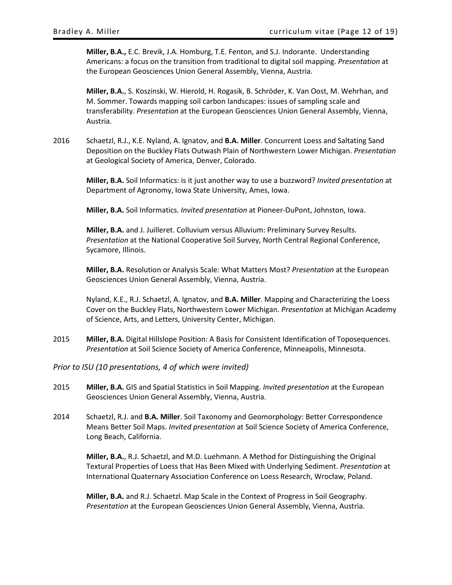**Miller, B.A.,** E.C. Brevik, J.A. Homburg, T.E. Fenton, and S.J. Indorante. Understanding Americans: a focus on the transition from traditional to digital soil mapping. *Presentation* at the European Geosciences Union General Assembly, Vienna, Austria.

**Miller, B.A.**, S. Koszinski, W. Hierold, H. Rogasik, B. Schröder, K. Van Oost, M. Wehrhan, and M. Sommer. Towards mapping soil carbon landscapes: issues of sampling scale and transferability. *Presentation* at the European Geosciences Union General Assembly, Vienna, Austria.

2016 Schaetzl, R.J., K.E. Nyland, A. Ignatov, and **B.A. Miller**. Concurrent Loess and Saltating Sand Deposition on the Buckley Flats Outwash Plain of Northwestern Lower Michigan. *Presentation* at Geological Society of America, Denver, Colorado.

**Miller, B.A.** Soil Informatics: is it just another way to use a buzzword? *Invited presentation* at Department of Agronomy, Iowa State University, Ames, Iowa.

**Miller, B.A.** Soil Informatics. *Invited presentation* at Pioneer-DuPont, Johnston, Iowa.

**Miller, B.A.** and J. Juilleret. Colluvium versus Alluvium: Preliminary Survey Results. *Presentation* at the National Cooperative Soil Survey, North Central Regional Conference, Sycamore, Illinois.

**Miller, B.A.** Resolution or Analysis Scale: What Matters Most? *Presentation* at the European Geosciences Union General Assembly, Vienna, Austria.

Nyland, K.E., R.J. Schaetzl, A. Ignatov, and **B.A. Miller**. Mapping and Characterizing the Loess Cover on the Buckley Flats, Northwestern Lower Michigan. *Presentation* at Michigan Academy of Science, Arts, and Letters, University Center, Michigan.

2015 **Miller, B.A.** Digital Hillslope Position: A Basis for Consistent Identification of Toposequences. *Presentation* at Soil Science Society of America Conference, Minneapolis, Minnesota.

# <span id="page-11-0"></span>*Prior to ISU (10 presentations, 4 of which were invited)*

- 2015 **Miller, B.A.** GIS and Spatial Statistics in Soil Mapping. *Invited presentation* at the European Geosciences Union General Assembly, Vienna, Austria.
- 2014 Schaetzl, R.J. and **B.A. Miller**. Soil Taxonomy and Geomorphology: Better Correspondence Means Better Soil Maps. *Invited presentation* at Soil Science Society of America Conference, Long Beach, California.

**Miller, B.A.**, R.J. Schaetzl, and M.D. Luehmann. A Method for Distinguishing the Original Textural Properties of Loess that Has Been Mixed with Underlying Sediment. *Presentation* at International Quaternary Association Conference on Loess Research, Wrocław, Poland.

**Miller, B.A.** and R.J. Schaetzl. Map Scale in the Context of Progress in Soil Geography. *Presentation* at the European Geosciences Union General Assembly, Vienna, Austria.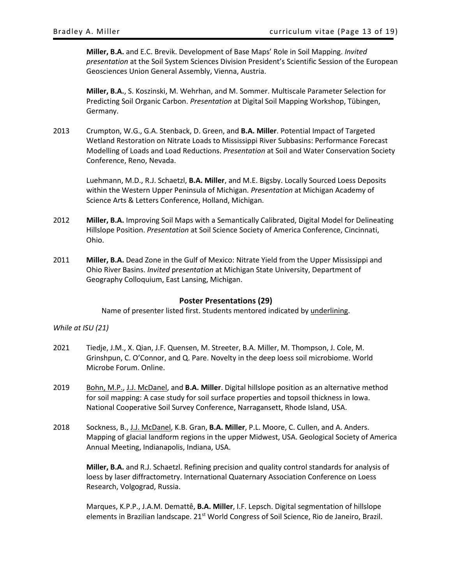**Miller, B.A.** and E.C. Brevik. Development of Base Maps' Role in Soil Mapping. *Invited presentation* at the Soil System Sciences Division President's Scientific Session of the European Geosciences Union General Assembly, Vienna, Austria.

**Miller, B.A.**, S. Koszinski, M. Wehrhan, and M. Sommer. Multiscale Parameter Selection for Predicting Soil Organic Carbon. *Presentation* at Digital Soil Mapping Workshop, Tübingen, Germany.

2013 Crumpton, W.G., G.A. Stenback, D. Green, and **B.A. Miller**. Potential Impact of Targeted Wetland Restoration on Nitrate Loads to Mississippi River Subbasins: Performance Forecast Modelling of Loads and Load Reductions. *Presentation* at Soil and Water Conservation Society Conference, Reno, Nevada.

Luehmann, M.D., R.J. Schaetzl, **B.A. Miller**, and M.E. Bigsby. Locally Sourced Loess Deposits within the Western Upper Peninsula of Michigan. *Presentation* at Michigan Academy of Science Arts & Letters Conference, Holland, Michigan.

- 2012 **Miller, B.A.** Improving Soil Maps with a Semantically Calibrated, Digital Model for Delineating Hillslope Position. *Presentation* at Soil Science Society of America Conference, Cincinnati, Ohio.
- 2011 **Miller, B.A.** Dead Zone in the Gulf of Mexico: Nitrate Yield from the Upper Mississippi and Ohio River Basins. *Invited* p*resentation* at Michigan State University, Department of Geography Colloquium, East Lansing, Michigan.

# **Poster Presentations (29)**

Name of presenter listed first. Students mentored indicated by underlining.

<span id="page-12-1"></span><span id="page-12-0"></span>*While at ISU (21)*

- 2021 Tiedje, J.M., X. Qian, J.F. Quensen, M. Streeter, B.A. Miller, M. Thompson, J. Cole, M. Grinshpun, C. O'Connor, and Q. Pare. Novelty in the deep loess soil microbiome. World Microbe Forum. Online.
- 2019 Bohn, M.P., J.J. McDanel, and **B.A. Miller**. Digital hillslope position as an alternative method for soil mapping: A case study for soil surface properties and topsoil thickness in Iowa. National Cooperative Soil Survey Conference, Narragansett, Rhode Island, USA.
- 2018 Sockness, B., J.J. McDanel, K.B. Gran, **B.A. Miller**, P.L. Moore, C. Cullen, and A. Anders. Mapping of glacial landform regions in the upper Midwest, USA. Geological Society of America Annual Meeting, Indianapolis, Indiana, USA.

**Miller, B.A.** and R.J. Schaetzl. Refining precision and quality control standards for analysis of loess by laser diffractometry. International Quaternary Association Conference on Loess Research, Volgograd, Russia.

Marques, K.P.P., J.A.M. Demattê, **B.A. Miller**, I.F. Lepsch. Digital segmentation of hillslope elements in Brazilian landscape. 21<sup>st</sup> World Congress of Soil Science, Rio de Janeiro, Brazil.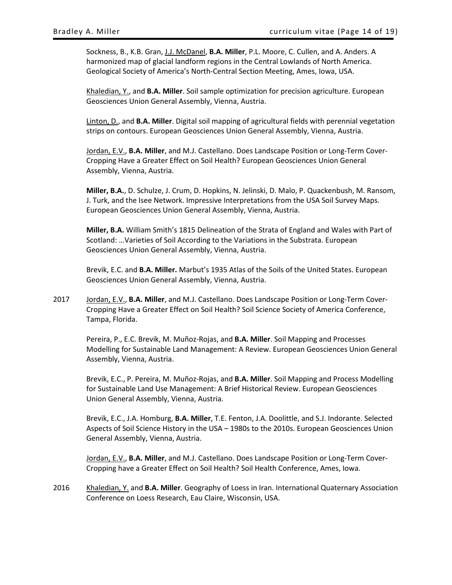Sockness, B., K.B. Gran, J.J. McDanel, **B.A. Miller**, P.L. Moore, C. Cullen, and A. Anders. A harmonized map of glacial landform regions in the Central Lowlands of North America. Geological Society of America's North-Central Section Meeting, Ames, Iowa, USA.

Khaledian, Y., and **B.A. Miller**. Soil sample optimization for precision agriculture. European Geosciences Union General Assembly, Vienna, Austria.

Linton, D., and **B.A. Miller**. Digital soil mapping of agricultural fields with perennial vegetation strips on contours. European Geosciences Union General Assembly, Vienna, Austria.

Jordan, E.V., **B.A. Miller**, and M.J. Castellano. Does Landscape Position or Long-Term Cover-Cropping Have a Greater Effect on Soil Health? European Geosciences Union General Assembly, Vienna, Austria.

**Miller, B.A.**, D. Schulze, J. Crum, D. Hopkins, N. Jelinski, D. Malo, P. Quackenbush, M. Ransom, J. Turk, and the Isee Network. Impressive Interpretations from the USA Soil Survey Maps. European Geosciences Union General Assembly, Vienna, Austria.

**Miller, B.A.** William Smith's 1815 Delineation of the Strata of England and Wales with Part of Scotland: …Varieties of Soil According to the Variations in the Substrata. European Geosciences Union General Assembly, Vienna, Austria.

Brevik, E.C. and **B.A. Miller.** Marbut's 1935 Atlas of the Soils of the United States. European Geosciences Union General Assembly, Vienna, Austria.

2017 Jordan, E.V., **B.A. Miller**, and M.J. Castellano. Does Landscape Position or Long-Term Cover-Cropping Have a Greater Effect on Soil Health? Soil Science Society of America Conference, Tampa, Florida.

Pereira, P., E.C. Brevik, M. Muñoz-Rojas, and **B.A. Miller**. Soil Mapping and Processes Modelling for Sustainable Land Management: A Review. European Geosciences Union General Assembly, Vienna, Austria.

Brevik, E.C., P. Pereira, M. Muñoz-Rojas, and **B.A. Miller**. Soil Mapping and Process Modelling for Sustainable Land Use Management: A Brief Historical Review. European Geosciences Union General Assembly, Vienna, Austria.

Brevik, E.C., J.A. Homburg, **B.A. Miller**, T.E. Fenton, J.A. Doolittle, and S.J. Indorante. Selected Aspects of Soil Science History in the USA – 1980s to the 2010s. European Geosciences Union General Assembly, Vienna, Austria.

Jordan, E.V., **B.A. Miller**, and M.J. Castellano. Does Landscape Position or Long-Term Cover-Cropping have a Greater Effect on Soil Health? Soil Health Conference, Ames, Iowa.

2016 Khaledian, Y. and **B.A. Miller**. Geography of Loess in Iran. International Quaternary Association Conference on Loess Research, Eau Claire, Wisconsin, USA.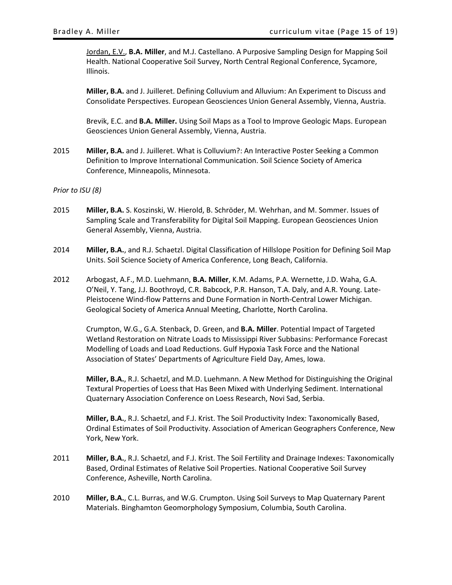Jordan, E.V., **B.A. Miller**, and M.J. Castellano. A Purposive Sampling Design for Mapping Soil Health. National Cooperative Soil Survey, North Central Regional Conference, Sycamore, Illinois.

**Miller, B.A.** and J. Juilleret. Defining Colluvium and Alluvium: An Experiment to Discuss and Consolidate Perspectives. European Geosciences Union General Assembly, Vienna, Austria.

Brevik, E.C. and **B.A. Miller.** Using Soil Maps as a Tool to Improve Geologic Maps. European Geosciences Union General Assembly, Vienna, Austria.

2015 **Miller, B.A.** and J. Juilleret. What is Colluvium?: An Interactive Poster Seeking a Common Definition to Improve International Communication. Soil Science Society of America Conference, Minneapolis, Minnesota.

#### <span id="page-14-0"></span>*Prior to ISU (8)*

- 2015 **Miller, B.A.** S. Koszinski, W. Hierold, B. Schröder, M. Wehrhan, and M. Sommer. Issues of Sampling Scale and Transferability for Digital Soil Mapping. European Geosciences Union General Assembly, Vienna, Austria.
- 2014 **Miller, B.A.**, and R.J. Schaetzl. Digital Classification of Hillslope Position for Defining Soil Map Units. Soil Science Society of America Conference, Long Beach, California.
- 2012 Arbogast, A.F., M.D. Luehmann, **B.A. Miller**, K.M. Adams, P.A. Wernette, J.D. Waha, G.A. O'Neil, Y. Tang, J.J. Boothroyd, C.R. Babcock, P.R. Hanson, T.A. Daly, and A.R. Young. Late-Pleistocene Wind-flow Patterns and Dune Formation in North-Central Lower Michigan. Geological Society of America Annual Meeting, Charlotte, North Carolina.

Crumpton, W.G., G.A. Stenback, D. Green, and **B.A. Miller**. Potential Impact of Targeted Wetland Restoration on Nitrate Loads to Mississippi River Subbasins: Performance Forecast Modelling of Loads and Load Reductions. Gulf Hypoxia Task Force and the National Association of States' Departments of Agriculture Field Day, Ames, Iowa.

**Miller, B.A.**, R.J. Schaetzl, and M.D. Luehmann. A New Method for Distinguishing the Original Textural Properties of Loess that Has Been Mixed with Underlying Sediment. International Quaternary Association Conference on Loess Research, Novi Sad, Serbia.

**Miller, B.A.**, R.J. Schaetzl, and F.J. Krist. The Soil Productivity Index: Taxonomically Based, Ordinal Estimates of Soil Productivity. Association of American Geographers Conference, New York, New York.

- 2011 **Miller, B.A.**, R.J. Schaetzl, and F.J. Krist. The Soil Fertility and Drainage Indexes: Taxonomically Based, Ordinal Estimates of Relative Soil Properties. National Cooperative Soil Survey Conference, Asheville, North Carolina.
- 2010 **Miller, B.A.**, C.L. Burras, and W.G. Crumpton. Using Soil Surveys to Map Quaternary Parent Materials. Binghamton Geomorphology Symposium, Columbia, South Carolina.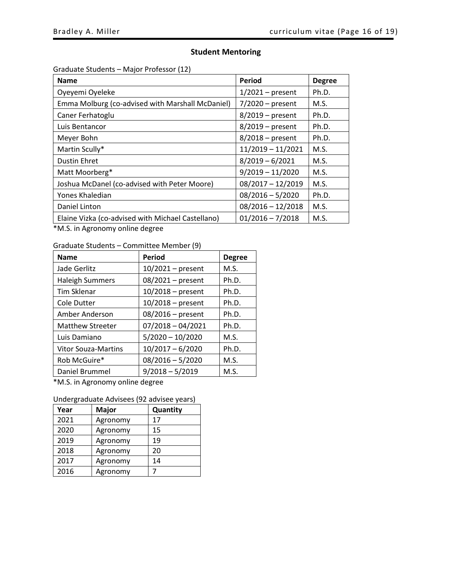# **Student Mentoring**

<span id="page-15-1"></span><span id="page-15-0"></span>Graduate Students – Major Professor (12)

| <b>Name</b>                                       | Period              | <b>Degree</b> |
|---------------------------------------------------|---------------------|---------------|
| Oyeyemi Oyeleke                                   | $1/2021$ – present  | Ph.D.         |
| Emma Molburg (co-advised with Marshall McDaniel)  | $7/2020$ – present  | M.S.          |
| Caner Ferhatoglu                                  | $8/2019$ – present  | Ph.D.         |
| Luis Bentancor                                    | $8/2019$ – present  | Ph.D.         |
| Meyer Bohn                                        | $8/2018$ – present  | Ph.D.         |
| Martin Scully*                                    | $11/2019 - 11/2021$ | M.S.          |
| <b>Dustin Ehret</b>                               | $8/2019 - 6/2021$   | M.S.          |
| Matt Moorberg*                                    | $9/2019 - 11/2020$  | M.S.          |
| Joshua McDanel (co-advised with Peter Moore)      | $08/2017 - 12/2019$ | M.S.          |
| Yones Khaledian                                   | $08/2016 - 5/2020$  | Ph.D.         |
| Daniel Linton                                     | $08/2016 - 12/2018$ | M.S.          |
| Elaine Vizka (co-advised with Michael Castellano) | $01/2016 - 7/2018$  | M.S.          |

\*M.S. in Agronomy online degree

<span id="page-15-2"></span>Graduate Students – Committee Member (9)

| <b>Name</b>                | Period              | <b>Degree</b> |
|----------------------------|---------------------|---------------|
| Jade Gerlitz               | $10/2021$ – present | M.S.          |
| <b>Haleigh Summers</b>     | 08/2021 - present   | Ph.D.         |
| <b>Tim Sklenar</b>         | $10/2018$ – present | Ph.D.         |
| <b>Cole Dutter</b>         | $10/2018$ – present | Ph.D.         |
| Amber Anderson             | $08/2016$ – present | Ph.D.         |
| <b>Matthew Streeter</b>    | $07/2018 - 04/2021$ | Ph.D.         |
| Luis Damiano               | $5/2020 - 10/2020$  | M.S.          |
| <b>Vitor Souza-Martins</b> | $10/2017 - 6/2020$  | Ph.D.         |
| Rob McGuire*               | $08/2016 - 5/2020$  | M.S.          |
| Daniel Brummel             | $9/2018 - 5/2019$   | M.S.          |

\*M.S. in Agronomy online degree

<span id="page-15-3"></span>

| Undergraduate Advisees (92 advisee years) |  |
|-------------------------------------------|--|
|-------------------------------------------|--|

| Year | Major    | Quantity |
|------|----------|----------|
| 2021 | Agronomy | 17       |
| 2020 | Agronomy | 15       |
| 2019 | Agronomy | 19       |
| 2018 | Agronomy | 20       |
| 2017 | Agronomy | 14       |
| 2016 | Agronomy |          |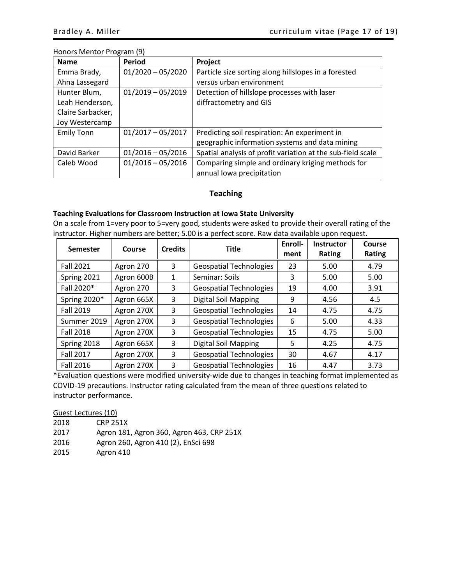# <span id="page-16-0"></span>Honors Mentor Program (9)

| <b>Name</b>       | Period              | Project                                                     |
|-------------------|---------------------|-------------------------------------------------------------|
| Emma Brady,       | $01/2020 - 05/2020$ | Particle size sorting along hillslopes in a forested        |
| Ahna Lassegard    |                     | versus urban environment                                    |
| Hunter Blum,      | $01/2019 - 05/2019$ | Detection of hillslope processes with laser                 |
| Leah Henderson,   |                     | diffractometry and GIS                                      |
| Claire Sarbacker, |                     |                                                             |
| Joy Westercamp    |                     |                                                             |
| <b>Emily Tonn</b> | $01/2017 - 05/2017$ | Predicting soil respiration: An experiment in               |
|                   |                     | geographic information systems and data mining              |
| David Barker      | $01/2016 - 05/2016$ | Spatial analysis of profit variation at the sub-field scale |
| Caleb Wood        | $01/2016 - 05/2016$ | Comparing simple and ordinary kriging methods for           |
|                   |                     | annual lowa precipitation                                   |

# **Teaching**

# <span id="page-16-1"></span>**Teaching Evaluations for Classroom Instruction at Iowa State University**

On a scale from 1=very poor to 5=very good, students were asked to provide their overall rating of the instructor. Higher numbers are better; 5.00 is a perfect score. Raw data available upon request.

| <b>Semester</b>  | Course     | <b>Credits</b> | <b>Title</b>                   | Enroll-<br>ment | <b>Instructor</b><br><b>Rating</b> | Course<br><b>Rating</b> |
|------------------|------------|----------------|--------------------------------|-----------------|------------------------------------|-------------------------|
| <b>Fall 2021</b> | Agron 270  | 3              | <b>Geospatial Technologies</b> | 23              | 5.00                               | 4.79                    |
| Spring 2021      | Agron 600B | 1              | Seminar: Soils                 | 3               | 5.00                               | 5.00                    |
| Fall 2020*       | Agron 270  | 3              | <b>Geospatial Technologies</b> | 19              | 4.00                               | 3.91                    |
| Spring 2020*     | Agron 665X | 3              | Digital Soil Mapping           | 9               | 4.56                               | 4.5                     |
| Fall 2019        | Agron 270X | 3              | <b>Geospatial Technologies</b> | 14              | 4.75                               | 4.75                    |
| Summer 2019      | Agron 270X | 3              | <b>Geospatial Technologies</b> | 6               | 5.00                               | 4.33                    |
| <b>Fall 2018</b> | Agron 270X | 3              | <b>Geospatial Technologies</b> | 15              | 4.75                               | 5.00                    |
| Spring 2018      | Agron 665X | 3              | Digital Soil Mapping           | 5               | 4.25                               | 4.75                    |
| <b>Fall 2017</b> | Agron 270X | 3              | <b>Geospatial Technologies</b> | 30              | 4.67                               | 4.17                    |
| Fall 2016        | Agron 270X | 3              | <b>Geospatial Technologies</b> | 16              | 4.47                               | 3.73                    |

\*Evaluation questions were modified university-wide due to changes in teaching format implemented as COVID-19 precautions. Instructor rating calculated from the mean of three questions related to instructor performance.

<span id="page-16-2"></span>Guest Lectures (10)

| 2018 | <b>CRP 251X</b>                           |
|------|-------------------------------------------|
| 2017 | Agron 181, Agron 360, Agron 463, CRP 251X |
| 2016 | Agron 260, Agron 410 (2), EnSci 698       |
| 2015 | Agron 410                                 |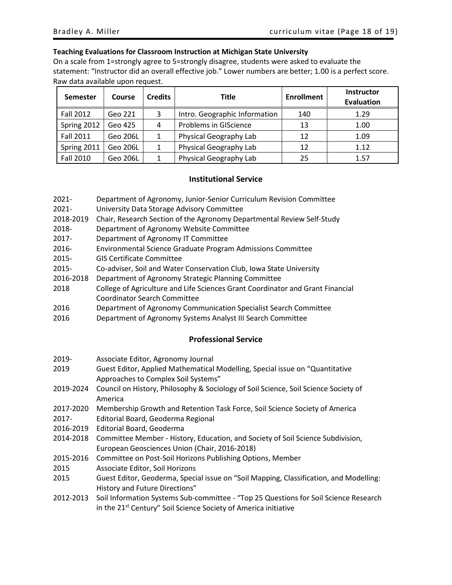### **Teaching Evaluations for Classroom Instruction at Michigan State University**

On a scale from 1=strongly agree to 5=strongly disagree, students were asked to evaluate the statement: "Instructor did an overall effective job." Lower numbers are better; 1.00 is a perfect score. Raw data available upon request.

| Semester    | Course   | <b>Credits</b> | <b>Title</b>                  | <b>Enrollment</b> | <b>Instructor</b><br><b>Evaluation</b> |
|-------------|----------|----------------|-------------------------------|-------------------|----------------------------------------|
| Fall 2012   | Geo 221  | 3              | Intro. Geographic Information | 140               | 1.29                                   |
| Spring 2012 | Geo 425  | 4              | Problems in GIScience         | 13                | 1.00                                   |
| Fall 2011   | Geo 206L |                | Physical Geography Lab        | 12                | 1.09                                   |
| Spring 2011 | Geo 206L |                | Physical Geography Lab        | 12                | 1.12                                   |
| Fall 2010   | Geo 206L |                | Physical Geography Lab        | 25                | 1.57                                   |

# **Institutional Service**

- <span id="page-17-0"></span>2021- Department of Agronomy, Junior-Senior Curriculum Revision Committee
- 2021- University Data Storage Advisory Committee
- 2018-2019 Chair, Research Section of the Agronomy Departmental Review Self-Study
- 2018- Department of Agronomy Website Committee
- 2017- Department of Agronomy IT Committee
- 2016- Environmental Science Graduate Program Admissions Committee
- 2015- GIS Certificate Committee
- 2015- Co-adviser, Soil and Water Conservation Club, Iowa State University
- 2016-2018 Department of Agronomy Strategic Planning Committee
- 2018 College of Agriculture and Life Sciences Grant Coordinator and Grant Financial Coordinator Search Committee
- 2016 Department of Agronomy Communication Specialist Search Committee
- <span id="page-17-1"></span>2016 Department of Agronomy Systems Analyst III Search Committee

# **Professional Service**

- 2019- Associate Editor, Agronomy Journal
- 2019 Guest Editor, Applied Mathematical Modelling, Special issue on "Quantitative Approaches to Complex Soil Systems"
- 2019-2024 Council on History, Philosophy & Sociology of Soil Science, Soil Science Society of America
- 2017-2020 Membership Growth and Retention Task Force, Soil Science Society of America
- 2017- Editorial Board, Geoderma Regional
- 2016-2019 Editorial Board, Geoderma
- 2014-2018 Committee Member History, Education, and Society of Soil Science Subdivision, European Geosciences Union (Chair, 2016-2018)
- 2015-2016 Committee on Post-Soil Horizons Publishing Options, Member
- 2015 Associate Editor, Soil Horizons
- 2015 Guest Editor, Geoderma, Special issue on "Soil Mapping, Classification, and Modelling: History and Future Directions"
- 2012-2013 Soil Information Systems Sub-committee "Top 25 Questions for Soil Science Research in the 21<sup>st</sup> Century" Soil Science Society of America initiative